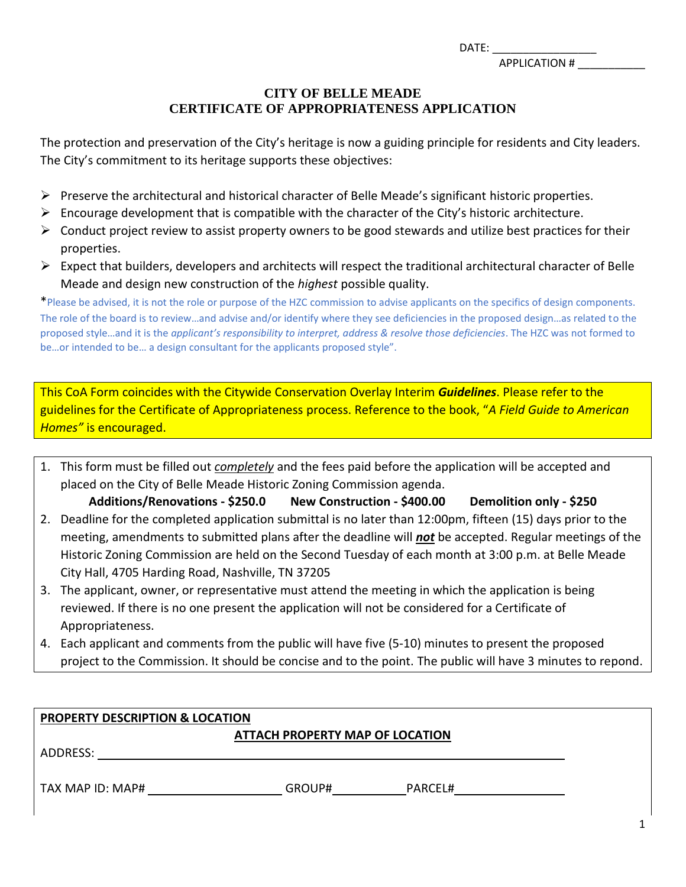DATE: \_\_\_\_\_\_\_\_\_\_\_\_\_\_\_\_\_

APPLICATION # \_\_\_\_\_\_\_\_\_\_\_

# **CITY OF BELLE MEADE CERTIFICATE OF APPROPRIATENESS APPLICATION**

The protection and preservation of the City's heritage is now a guiding principle for residents and City leaders. The City's commitment to its heritage supports these objectives:

- $\triangleright$  Preserve the architectural and historical character of Belle Meade's significant historic properties.
- $\triangleright$  Encourage development that is compatible with the character of the City's historic architecture.
- $\triangleright$  Conduct project review to assist property owners to be good stewards and utilize best practices for their properties.
- $\triangleright$  Expect that builders, developers and architects will respect the traditional architectural character of Belle Meade and design new construction of the *highest* possible quality.

\*Please be advised, it is not the role or purpose of the HZC commission to advise applicants on the specifics of design components. The role of the board is to review…and advise and/or identify where they see deficiencies in the proposed design…as related to the proposed style…and it is the *applicant's responsibility to interpret, address & resolve those deficiencies*. The HZC was not formed to be…or intended to be… a design consultant for the applicants proposed style".

This CoA Form coincides with the Citywide Conservation Overlay Interim *Guidelines*. Please refer to the guidelines for the Certificate of Appropriateness process. Reference to the book, "*A Field Guide to American Homes"* is encouraged.

1. This form must be filled out *completely* and the fees paid before the application will be accepted and placed on the City of Belle Meade Historic Zoning Commission agenda.

**Additions/Renovations - \$250.0 New Construction - \$400.00 Demolition only - \$250** 2. Deadline for the completed application submittal is no later than 12:00pm, fifteen (15) days prior to the meeting, amendments to submitted plans after the deadline will *not* be accepted. Regular meetings of the Historic Zoning Commission are held on the Second Tuesday of each month at 3:00 p.m. at Belle Meade City Hall, 4705 Harding Road, Nashville, TN 37205

- 3. The applicant, owner, or representative must attend the meeting in which the application is being reviewed. If there is no one present the application will not be considered for a Certificate of Appropriateness.
- 4. Each applicant and comments from the public will have five (5-10) minutes to present the proposed project to the Commission. It should be concise and to the point. The public will have 3 minutes to repond.

| <b>PROPERTY DESCRIPTION &amp; LOCATION</b> |        |         |  |  |  |
|--------------------------------------------|--------|---------|--|--|--|
| ATTACH PROPERTY MAP OF LOCATION            |        |         |  |  |  |
| ADDRESS:                                   |        |         |  |  |  |
|                                            |        |         |  |  |  |
| TAX MAP ID: MAP#                           | GROUP# | PARCEL# |  |  |  |
|                                            |        |         |  |  |  |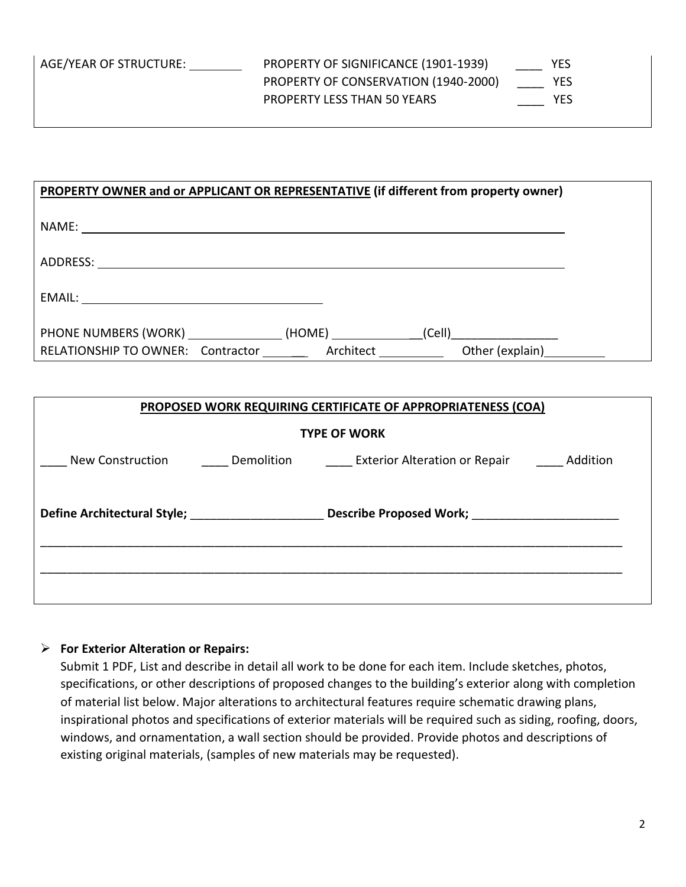AGE/YEAR OF STRUCTURE: PROPERTY OF SIGNIFICANCE (1901-1939) \_\_\_\_\_\_\_ YES PROPERTY OF CONSERVATION (1940-2000) \_\_\_\_ YES PROPERTY LESS THAN 50 YEARS **WAS CONSIDERED MAKE SET AND RES** 

| PROPERTY OWNER and or APPLICANT OR REPRESENTATIVE (if different from property owner) |  |                                               |  |
|--------------------------------------------------------------------------------------|--|-----------------------------------------------|--|
|                                                                                      |  |                                               |  |
|                                                                                      |  |                                               |  |
|                                                                                      |  |                                               |  |
|                                                                                      |  |                                               |  |
| PHONE NUMBERS (WORK)<br>RELATIONSHIP TO OWNER: Contractor                            |  | (HOME) (Cell)<br>Architect<br>Other (explain) |  |

| <b>PROPOSED WORK REQUIRING CERTIFICATE OF APPROPRIATENESS (COA)</b>  |            |                               |          |  |  |  |
|----------------------------------------------------------------------|------------|-------------------------------|----------|--|--|--|
| <b>TYPE OF WORK</b>                                                  |            |                               |          |  |  |  |
| New Construction                                                     | Demolition | Exterior Alteration or Repair | Addition |  |  |  |
|                                                                      |            |                               |          |  |  |  |
| <b>Define Architectural Style;</b><br><b>Describe Proposed Work;</b> |            |                               |          |  |  |  |
|                                                                      |            |                               |          |  |  |  |
|                                                                      |            |                               |          |  |  |  |
|                                                                      |            |                               |          |  |  |  |

#### ➢ **For Exterior Alteration or Repairs:**

Submit 1 PDF, List and describe in detail all work to be done for each item. Include sketches, photos, specifications, or other descriptions of proposed changes to the building's exterior along with completion of material list below. Major alterations to architectural features require schematic drawing plans, inspirational photos and specifications of exterior materials will be required such as siding, roofing, doors, windows, and ornamentation, a wall section should be provided. Provide photos and descriptions of existing original materials, (samples of new materials may be requested).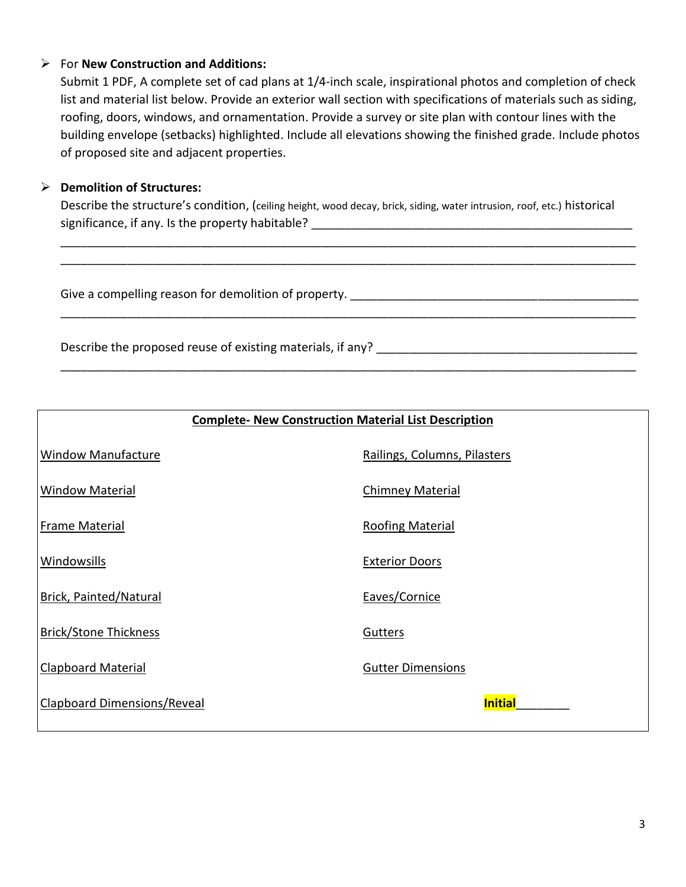### ➢ For **New Construction and Additions:**

Submit 1 PDF, A complete set of cad plans at 1/4-inch scale, inspirational photos and completion of check list and material list below. Provide an exterior wall section with specifications of materials such as siding, roofing, doors, windows, and ornamentation. Provide a survey or site plan with contour lines with the building envelope (setbacks) highlighted. Include all elevations showing the finished grade. Include photos of proposed site and adjacent properties.

# ➢ **Demolition of Structures:**

Describe the structure's condition, (ceiling height, wood decay, brick, siding, water intrusion, roof, etc.) historical significance, if any. Is the property habitable? \_\_\_\_\_\_\_\_\_\_\_\_\_\_\_\_\_\_\_\_\_\_\_\_\_\_\_\_\_\_\_\_\_\_\_\_\_\_\_\_\_\_\_\_\_\_\_\_

\_\_\_\_\_\_\_\_\_\_\_\_\_\_\_\_\_\_\_\_\_\_\_\_\_\_\_\_\_\_\_\_\_\_\_\_\_\_\_\_\_\_\_\_\_\_\_\_\_\_\_\_\_\_\_\_\_\_\_\_\_\_\_\_\_\_\_\_\_\_\_\_\_\_\_\_\_\_\_\_\_\_\_\_\_\_ \_\_\_\_\_\_\_\_\_\_\_\_\_\_\_\_\_\_\_\_\_\_\_\_\_\_\_\_\_\_\_\_\_\_\_\_\_\_\_\_\_\_\_\_\_\_\_\_\_\_\_\_\_\_\_\_\_\_\_\_\_\_\_\_\_\_\_\_\_\_\_\_\_\_\_\_\_\_\_\_\_\_\_\_\_\_

\_\_\_\_\_\_\_\_\_\_\_\_\_\_\_\_\_\_\_\_\_\_\_\_\_\_\_\_\_\_\_\_\_\_\_\_\_\_\_\_\_\_\_\_\_\_\_\_\_\_\_\_\_\_\_\_\_\_\_\_\_\_\_\_\_\_\_\_\_\_\_\_\_\_\_\_\_\_\_\_\_\_\_\_\_\_

\_\_\_\_\_\_\_\_\_\_\_\_\_\_\_\_\_\_\_\_\_\_\_\_\_\_\_\_\_\_\_\_\_\_\_\_\_\_\_\_\_\_\_\_\_\_\_\_\_\_\_\_\_\_\_\_\_\_\_\_\_\_\_\_\_\_\_\_\_\_\_\_\_\_\_\_\_\_\_\_\_\_\_\_\_\_

Give a compelling reason for demolition of property.

Describe the proposed reuse of existing materials, if any?

| <b>Complete- New Construction Material List Description</b> |                              |  |  |  |
|-------------------------------------------------------------|------------------------------|--|--|--|
| <b>Window Manufacture</b>                                   | Railings, Columns, Pilasters |  |  |  |
| <b>Window Material</b>                                      | <b>Chimney Material</b>      |  |  |  |
| <b>Frame Material</b>                                       | <b>Roofing Material</b>      |  |  |  |
| <b>Windowsills</b>                                          | <b>Exterior Doors</b>        |  |  |  |
| <b>Brick, Painted/Natural</b>                               | Eaves/Cornice                |  |  |  |
| <b>Brick/Stone Thickness</b>                                | Gutters                      |  |  |  |
| <b>Clapboard Material</b>                                   | <b>Gutter Dimensions</b>     |  |  |  |
| <b>Clapboard Dimensions/Reveal</b>                          | <b>Initial</b>               |  |  |  |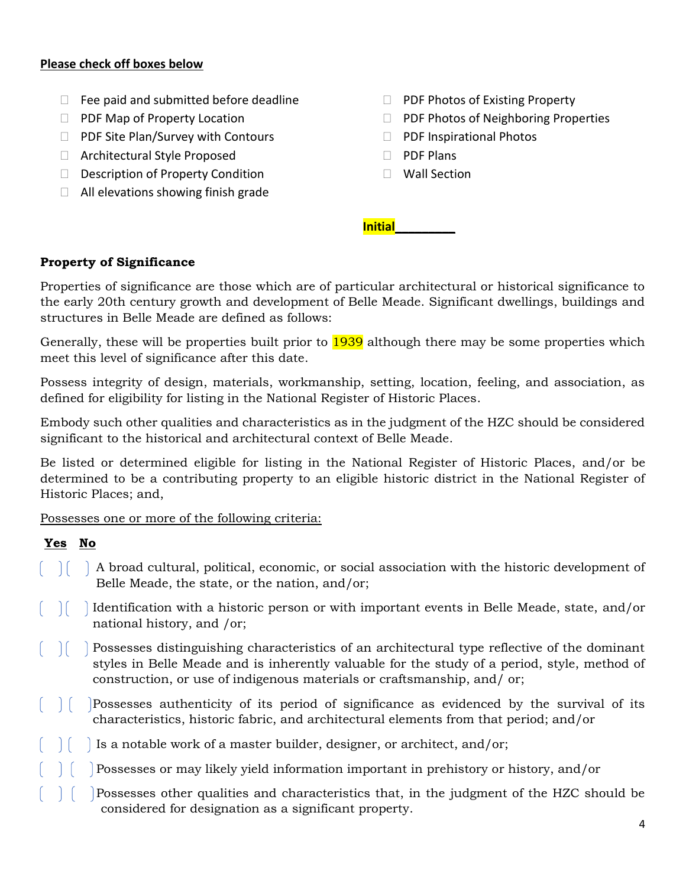#### **Please check off boxes below**

- $\Box$  Fee paid and submitted before deadline
- **PDF Map of Property Location**
- $\Box$  PDF Site Plan/Survey with Contours
- □ Architectural Style Proposed
- D Description of Property Condition
- $\Box$  All elevations showing finish grade
- $\Box$  PDF Photos of Existing Property
- $\Box$  PDF Photos of Neighboring Properties
- D PDF Inspirational Photos
- D PDF Plans
- □ Wall Section

**Initial\_\_\_\_\_\_\_\_\_**

#### **Property of Significance**

Properties of significance are those which are of particular architectural or historical significance to the early 20th century growth and development of Belle Meade. Significant dwellings, buildings and structures in Belle Meade are defined as follows:

Generally, these will be properties built prior to 1939 although there may be some properties which meet this level of significance after this date.

Possess integrity of design, materials, workmanship, setting, location, feeling, and association, as defined for eligibility for listing in the National Register of Historic Places.

Embody such other qualities and characteristics as in the judgment of the HZC should be considered significant to the historical and architectural context of Belle Meade.

Be listed or determined eligible for listing in the National Register of Historic Places, and/or be determined to be a contributing property to an eligible historic district in the National Register of Historic Places; and,

Possesses one or more of the following criteria:

# **Yes No**

- $\vert \vert$   $\vert$  A broad cultural, political, economic, or social association with the historic development of Belle Meade, the state, or the nation, and/or;
- $\vert\vert$  Identification with a historic person or with important events in Belle Meade, state, and/or national history, and /or;
- $\vert \vert$  Possesses distinguishing characteristics of an architectural type reflective of the dominant styles in Belle Meade and is inherently valuable for the study of a period, style, method of construction, or use of indigenous materials or craftsmanship, and/ or;
- Possesses authenticity of its period of significance as evidenced by the survival of its characteristics, historic fabric, and architectural elements from that period; and/or
- Is a notable work of a master builder, designer, or architect, and/or;
- Possesses or may likely yield information important in prehistory or history, and/or
- Possesses other qualities and characteristics that, in the judgment of the HZC should be considered for designation as a significant property.